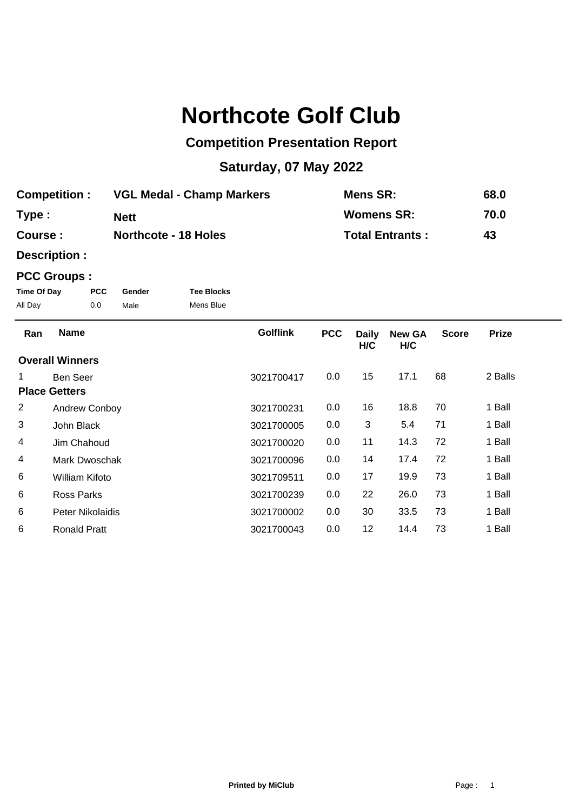## **Northcote Golf Club**

## **Competition Presentation Report**

## **Saturday, 07 May 2022**

| <b>Competition :</b> | <b>VGL Medal - Champ Markers</b> | <b>Mens SR:</b>        | 68.0 |
|----------------------|----------------------------------|------------------------|------|
| Type :               | <b>Nett</b>                      | <b>Womens SR:</b>      | 70.0 |
| <b>Course :</b>      | <b>Northcote - 18 Holes</b>      | <b>Total Entrants:</b> | 43   |

**Description :**

## **PCC Groups :**

| Time Of Day | <b>PCC</b> | Gender | <b>Tee Blocks</b> |
|-------------|------------|--------|-------------------|
| All Day     | 0.0        | Male   | Mens Blue         |

| Ran            | <b>Name</b>            | <b>Golflink</b> | <b>PCC</b> | <b>Daily</b><br>H/C | <b>New GA</b><br>H/C | <b>Score</b> | <b>Prize</b> |  |
|----------------|------------------------|-----------------|------------|---------------------|----------------------|--------------|--------------|--|
|                | <b>Overall Winners</b> |                 |            |                     |                      |              |              |  |
| 1.             | <b>Ben Seer</b>        | 3021700417      | 0.0        | 15                  | 17.1                 | 68           | 2 Balls      |  |
|                | <b>Place Getters</b>   |                 |            |                     |                      |              |              |  |
| $\overline{2}$ | Andrew Conboy          | 3021700231      | 0.0        | 16                  | 18.8                 | 70           | 1 Ball       |  |
| 3              | John Black             | 3021700005      | 0.0        | 3                   | 5.4                  | 71           | 1 Ball       |  |
| 4              | Jim Chahoud            | 3021700020      | 0.0        | 11                  | 14.3                 | 72           | 1 Ball       |  |
| 4              | Mark Dwoschak          | 3021700096      | 0.0        | 14                  | 17.4                 | 72           | 1 Ball       |  |
| 6              | William Kifoto         | 3021709511      | 0.0        | 17                  | 19.9                 | 73           | 1 Ball       |  |
| 6              | Ross Parks             | 3021700239      | 0.0        | 22                  | 26.0                 | 73           | 1 Ball       |  |
| 6              | Peter Nikolaidis       | 3021700002      | 0.0        | 30                  | 33.5                 | 73           | 1 Ball       |  |
| 6              | <b>Ronald Pratt</b>    | 3021700043      | 0.0        | 12                  | 14.4                 | 73           | 1 Ball       |  |